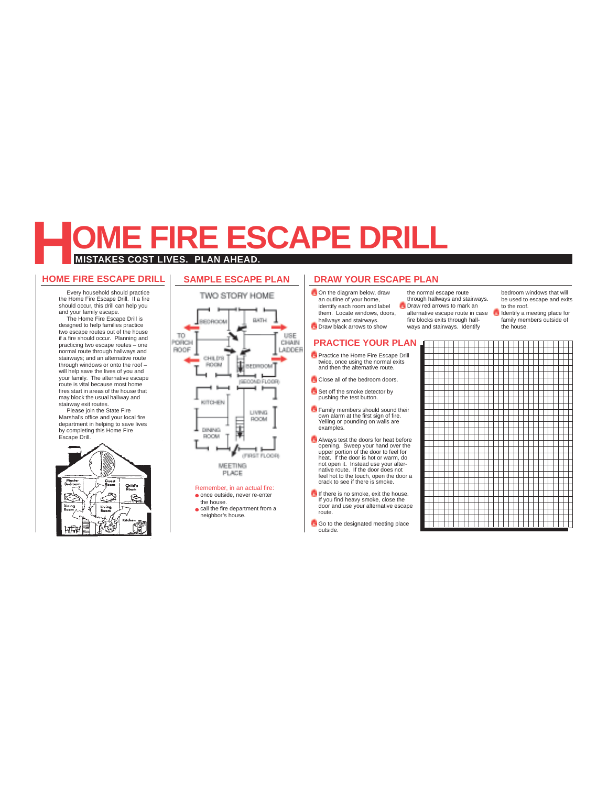## **MISTAKES COST LIVES. PLAN AHEAD. E FIRE ESCAPE DRILL**

#### **HOME FIRE ESCAPE DRILL**

Every household should practice the Home Fire Escape Drill. If a fire should occur, this drill can help you and your family escape. The Home Fire Escape Drill is designed to help families practice two escape routes out of the house if a fire should occur. Planning and practicing two escape routes – one normal route through hallways and stairways; and an alternative route through windows or onto the roof – will help save the lives of you and your family. The alternative escape route is vital because most home fires start in areas of the house that

may block the usual hallway and stairway exit routes. Please join the State Fire Marshal's office and your local fire



#### **SAMPLE ESCAPE PLAN**



• once outside, never re-enter the house.

• call the fire department from a

neighbor's house.

### **DRAW YOUR ESCAPE PLAN DRAW YOUR ESCAPE PLAN**

an outline of your home, identify each room and label them. Locate windows, doors, hallways and stairways.

**Draw black arrows to show** 

**Practice the Home Fire Escape Drill** twice, once using the normal exits and then the alternative route. Close all of the bedroom doors. Set off the smoke detector by pushing the test button. **Family members should sound their** own alarm at the first sign of fire. Yelling or pounding on walls are

**Always test the doors for heat before** opening. Sweep your hand over the upper portion of the door to feel for heat. If the door is hot or warm, do not open it. Instead use your alter-native route. If the door does not

feel hot to the touch, open the door a crack to see if there is smoke. If If there is no smoke, exit the house. If you find heavy smoke, close the door and use your alternative escape

Go to the designated meeting place

the normal escape route through hallways and stairways. Draw red arrows to mark an alternative escape route in case fire blocks exits through hall-

ways and stairways. Identify

bedroom windows that will be used to escape and exits to the roof. Identify a meeting place for

family members outside of the house.



## On the diagram below, draw

examples.

route.

outside.